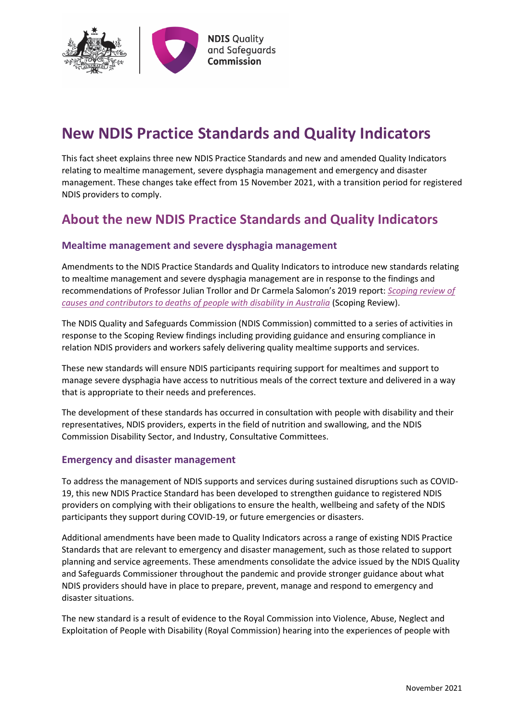

# **New NDIS Practice Standards and Quality Indicators**

This fact sheet explains three new NDIS Practice Standards and new and amended Quality Indicators relating to mealtime management, severe dysphagia management and emergency and disaster management. These changes take effect from 15 November 2021, with a transition period for registered NDIS providers to comply.

# **About the new NDIS Practice Standards and Quality Indicators**

### **Mealtime management and severe dysphagia management**

Amendments to the NDIS Practice Standards and Quality Indicators to introduce new standards relating to mealtime management and severe dysphagia management are in response to the findings and recommendations of Professor Julian Trollor and Dr Carmela Salomon's 2019 report: *[Scoping review of](https://www.ndiscommission.gov.au/2019-report-scoping-review)  [causes and contributors to deaths of people with disability in Australia](https://www.ndiscommission.gov.au/2019-report-scoping-review)* (Scoping Review).

The NDIS Quality and Safeguards Commission (NDIS Commission) committed to a series of activities in response to the Scoping Review findings including providing guidance and ensuring compliance in relation NDIS providers and workers safely delivering quality mealtime supports and services.

These new standards will ensure NDIS participants requiring support for mealtimes and support to manage severe dysphagia have access to nutritious meals of the correct texture and delivered in a way that is appropriate to their needs and preferences.

The development of these standards has occurred in consultation with people with disability and their representatives, NDIS providers, experts in the field of nutrition and swallowing, and the NDIS Commission Disability Sector, and Industry, Consultative Committees.

#### **Emergency and disaster management**

To address the management of NDIS supports and services during sustained disruptions such as COVID-19, this new NDIS Practice Standard has been developed to strengthen guidance to registered NDIS providers on complying with their obligations to ensure the health, wellbeing and safety of the NDIS participants they support during COVID-19, or future emergencies or disasters.

Additional amendments have been made to Quality Indicators across a range of existing NDIS Practice Standards that are relevant to emergency and disaster management, such as those related to support planning and service agreements. These amendments consolidate the advice issued by the NDIS Quality and Safeguards Commissioner throughout the pandemic and provide stronger guidance about what NDIS providers should have in place to prepare, prevent, manage and respond to emergency and disaster situations.

The new standard is a result of evidence to the Royal Commission into Violence, Abuse, Neglect and Exploitation of People with Disability (Royal Commission) hearing into the experiences of people with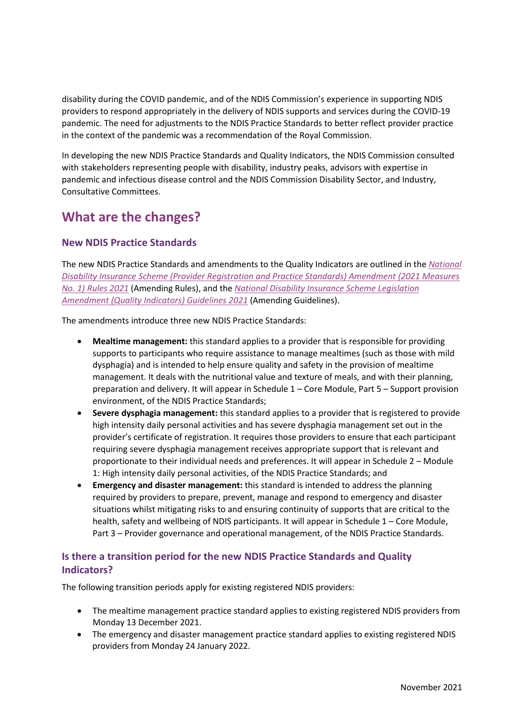disability during the COVID pandemic, and of the NDIS Commission's experience in supporting NDIS providers to respond appropriately in the delivery of NDIS supports and services during the COVID-19 pandemic. The need for adjustments to the NDIS Practice Standards to better reflect provider practice in the context of the pandemic was a recommendation of the Royal Commission.

In developing the new NDIS Practice Standards and Quality Indicators, the NDIS Commission consulted with stakeholders representing people with disability, industry peaks, advisors with expertise in pandemic and infectious disease control and the NDIS Commission Disability Sector, and Industry, Consultative Committees.

# **What are the changes?**

## **New NDIS Practice Standards**

The new NDIS Practice Standards and amendments to the Quality Indicators are outlined in the *[National](https://www.legislation.gov.au/Details/F2021L01480)  [Disability Insurance Scheme \(Provider Registration and Practice Standards\) Amendment \(2021 Measures](https://www.legislation.gov.au/Details/F2021L01480)  [No. 1\) Rules 2021](https://www.legislation.gov.au/Details/F2021L01480)* (Amending Rules), and the *[National Disability Insurance Scheme Legislation](https://www.legislation.gov.au/Details/F2021N00274)  [Amendment \(Quality Indicators\) Guidelines 2021](https://www.legislation.gov.au/Details/F2021N00274)* (Amending Guidelines).

The amendments introduce three new NDIS Practice Standards:

- **Mealtime management:** this standard applies to a provider that is responsible for providing supports to participants who require assistance to manage mealtimes (such as those with mild dysphagia) and is intended to help ensure quality and safety in the provision of mealtime management. It deals with the nutritional value and texture of meals, and with their planning, preparation and delivery. It will appear in Schedule 1 – Core Module, Part 5 – Support provision environment, of the NDIS Practice Standards;
- **Severe dysphagia management:** this standard applies to a provider that is registered to provide high intensity daily personal activities and has severe dysphagia management set out in the provider's certificate of registration. It requires those providers to ensure that each participant requiring severe dysphagia management receives appropriate support that is relevant and proportionate to their individual needs and preferences. It will appear in Schedule 2 – Module 1: High intensity daily personal activities, of the NDIS Practice Standards; and
- **Emergency and disaster management:** this standard is intended to address the planning required by providers to prepare, prevent, manage and respond to emergency and disaster situations whilst mitigating risks to and ensuring continuity of supports that are critical to the health, safety and wellbeing of NDIS participants. It will appear in Schedule 1 – Core Module, Part 3 – Provider governance and operational management, of the NDIS Practice Standards.

## **Is there a transition period for the new NDIS Practice Standards and Quality Indicators?**

The following transition periods apply for existing registered NDIS providers:

- The mealtime management practice standard applies to existing registered NDIS providers from Monday 13 December 2021.
- The emergency and disaster management practice standard applies to existing registered NDIS providers from Monday 24 January 2022.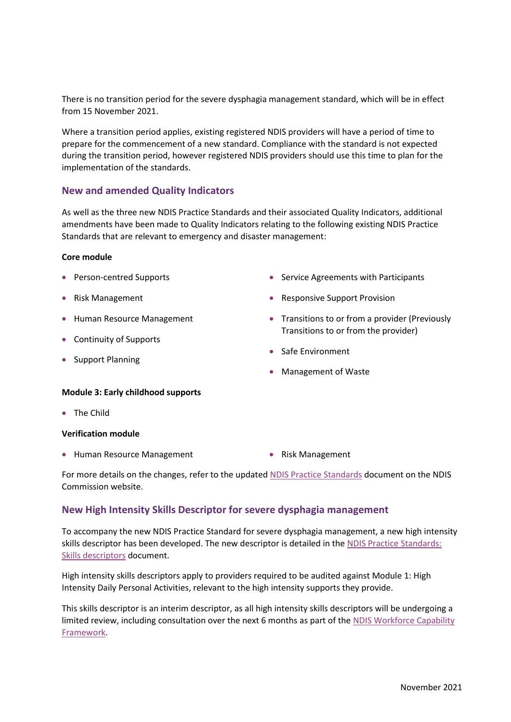There is no transition period for the severe dysphagia management standard, which will be in effect from 15 November 2021.

Where a transition period applies, existing registered NDIS providers will have a period of time to prepare for the commencement of a new standard. Compliance with the standard is not expected during the transition period, however registered NDIS providers should use this time to plan for the implementation of the standards.

#### **New and amended Quality Indicators**

As well as the three new NDIS Practice Standards and their associated Quality Indicators, additional amendments have been made to Quality Indicators relating to the following existing NDIS Practice Standards that are relevant to emergency and disaster management:

#### **Core module**

- Person-centred Supports
- Risk Management
- **Human Resource Management**
- Continuity of Supports
- Support Planning
- Service Agreements with Participants
- Responsive Support Provision
- Transitions to or from a provider (Previously Transitions to or from the provider)
- Safe Environment
- Management of Waste

#### **Module 3: Early childhood supports**

• The Child

#### **Verification module**

- Human Resource Management Risk Management
- 

For more details on the changes, refer to the update[d NDIS Practice Standards](https://www.ndiscommission.gov.au/document/986) document on the NDIS Commission website.

#### **New High Intensity Skills Descriptor for severe dysphagia management**

To accompany the new NDIS Practice Standard for severe dysphagia management, a new high intensity skills descriptor has been developed. The new descriptor is detailed in th[e NDIS Practice Standards:](https://www.ndiscommission.gov.au/document/1026)  [Skills descriptors](https://www.ndiscommission.gov.au/document/1026) document.

High intensity skills descriptors apply to providers required to be audited against Module 1: High Intensity Daily Personal Activities, relevant to the high intensity supports they provide.

This skills descriptor is an interim descriptor, as all high intensity skills descriptors will be undergoing a limited review, including consultation over the next 6 months as part of the NDIS Workforce Capability [Framework.](https://workforcecapability.ndiscommission.gov.au/)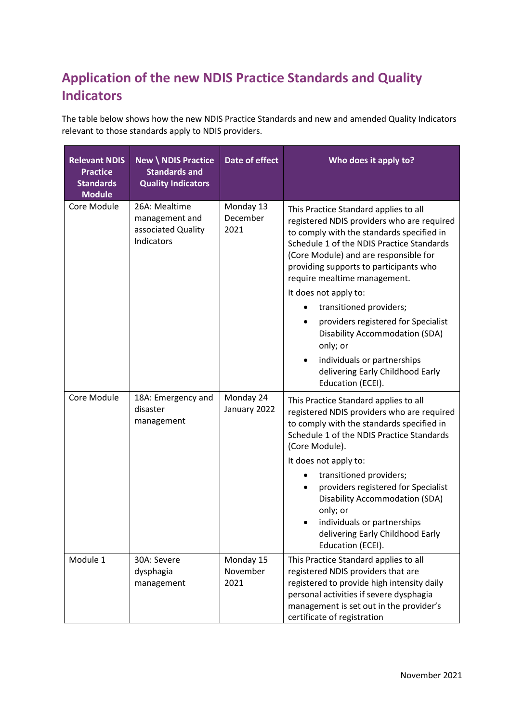# **Application of the new NDIS Practice Standards and Quality Indicators**

The table below shows how the new NDIS Practice Standards and new and amended Quality Indicators relevant to those standards apply to NDIS providers.

| <b>Relevant NDIS</b><br><b>Practice</b><br><b>Standards</b><br><b>Module</b> | <b>New \ NDIS Practice</b><br><b>Standards and</b><br><b>Quality Indicators</b> | Date of effect                | Who does it apply to?                                                                                                                                                                                                                                                                                                                                                                                                                                |
|------------------------------------------------------------------------------|---------------------------------------------------------------------------------|-------------------------------|------------------------------------------------------------------------------------------------------------------------------------------------------------------------------------------------------------------------------------------------------------------------------------------------------------------------------------------------------------------------------------------------------------------------------------------------------|
| Core Module                                                                  | 26A: Mealtime<br>management and<br>associated Quality<br>Indicators             | Monday 13<br>December<br>2021 | This Practice Standard applies to all<br>registered NDIS providers who are required<br>to comply with the standards specified in<br>Schedule 1 of the NDIS Practice Standards<br>(Core Module) and are responsible for<br>providing supports to participants who<br>require mealtime management.<br>It does not apply to:                                                                                                                            |
|                                                                              |                                                                                 |                               | transitioned providers;<br>providers registered for Specialist<br><b>Disability Accommodation (SDA)</b><br>only; or<br>individuals or partnerships<br>٠<br>delivering Early Childhood Early<br>Education (ECEI).                                                                                                                                                                                                                                     |
| Core Module                                                                  | 18A: Emergency and<br>disaster<br>management                                    | Monday 24<br>January 2022     | This Practice Standard applies to all<br>registered NDIS providers who are required<br>to comply with the standards specified in<br>Schedule 1 of the NDIS Practice Standards<br>(Core Module).<br>It does not apply to:<br>transitioned providers;<br>$\bullet$<br>providers registered for Specialist<br><b>Disability Accommodation (SDA)</b><br>only; or<br>individuals or partnerships<br>delivering Early Childhood Early<br>Education (ECEI). |
| Module 1                                                                     | 30A: Severe<br>dysphagia<br>management                                          | Monday 15<br>November<br>2021 | This Practice Standard applies to all<br>registered NDIS providers that are<br>registered to provide high intensity daily<br>personal activities if severe dysphagia<br>management is set out in the provider's<br>certificate of registration                                                                                                                                                                                                       |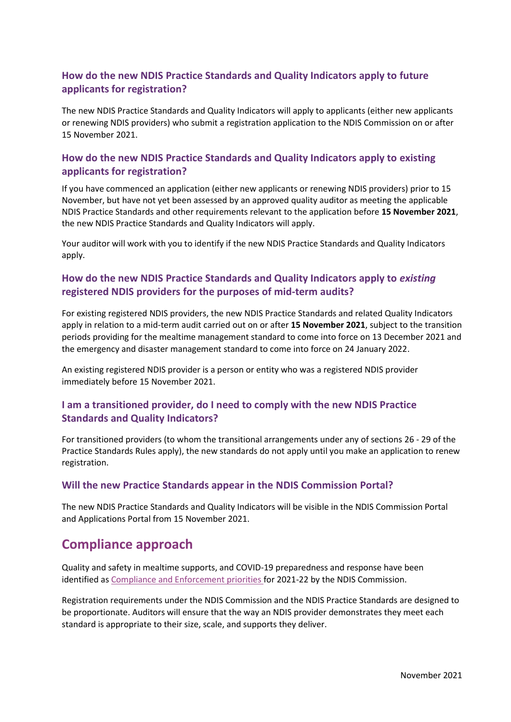# **How do the new NDIS Practice Standards and Quality Indicators apply to future applicants for registration?**

The new NDIS Practice Standards and Quality Indicators will apply to applicants (either new applicants or renewing NDIS providers) who submit a registration application to the NDIS Commission on or after 15 November 2021.

## **How do the new NDIS Practice Standards and Quality Indicators apply to existing applicants for registration?**

If you have commenced an application (either new applicants or renewing NDIS providers) prior to 15 November, but have not yet been assessed by an approved quality auditor as meeting the applicable NDIS Practice Standards and other requirements relevant to the application before **15 November 2021**, the new NDIS Practice Standards and Quality Indicators will apply.

Your auditor will work with you to identify if the new NDIS Practice Standards and Quality Indicators apply.

## **How do the new NDIS Practice Standards and Quality Indicators apply to** *existing* **registered NDIS providers for the purposes of mid-term audits?**

For existing registered NDIS providers, the new NDIS Practice Standards and related Quality Indicators apply in relation to a mid-term audit carried out on or after **15 November 2021**, subject to the transition periods providing for the mealtime management standard to come into force on 13 December 2021 and the emergency and disaster management standard to come into force on 24 January 2022.

An existing registered NDIS provider is a person or entity who was a registered NDIS provider immediately before 15 November 2021.

## **I am a transitioned provider, do I need to comply with the new NDIS Practice Standards and Quality Indicators?**

For transitioned providers (to whom the transitional arrangements under any of sections 26 - 29 of the Practice Standards Rules apply), the new standards do not apply until you make an application to renew registration.

## **Will the new Practice Standards appear in the NDIS Commission Portal?**

The new NDIS Practice Standards and Quality Indicators will be visible in the NDIS Commission Portal and Applications Portal from 15 November 2021.

# **Compliance approach**

Quality and safety in mealtime supports, and COVID-19 preparedness and response have been identified a[s Compliance and Enforcement priorities f](https://www.ndiscommission.gov.au/document/3286)or 2021-22 by the NDIS Commission.

Registration requirements under the NDIS Commission and the NDIS Practice Standards are designed to be proportionate. Auditors will ensure that the way an NDIS provider demonstrates they meet each standard is appropriate to their size, scale, and supports they deliver.